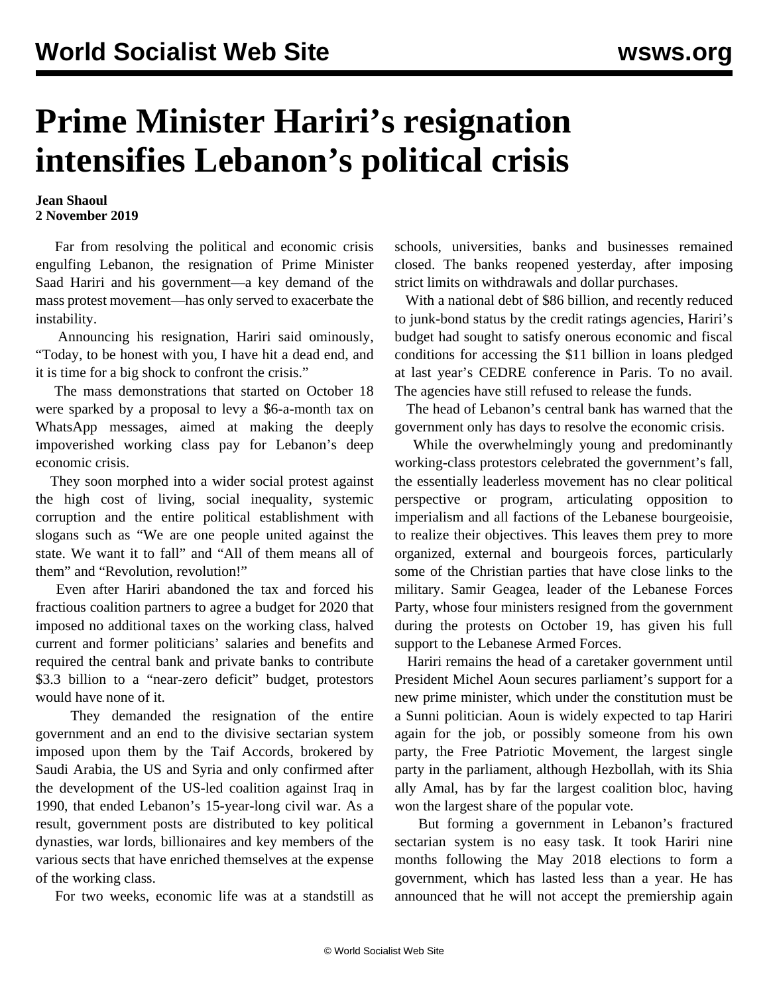## **Prime Minister Hariri's resignation intensifies Lebanon's political crisis**

## **Jean Shaoul 2 November 2019**

 Far from resolving the political and economic crisis engulfing Lebanon, the resignation of Prime Minister Saad Hariri and his government—a key demand of the mass protest movement—has only served to exacerbate the instability.

 Announcing his resignation, Hariri said ominously, "Today, to be honest with you, I have hit a dead end, and it is time for a big shock to confront the crisis."

 The mass demonstrations that started on October 18 were sparked by a proposal to levy a \$6-a-month tax on WhatsApp messages, aimed at making the deeply impoverished working class pay for Lebanon's deep economic crisis.

 They soon morphed into a wider social protest against the high cost of living, social inequality, systemic corruption and the entire political establishment with slogans such as "We are one people united against the state. We want it to fall" and "All of them means all of them" and "Revolution, revolution!"

 Even after Hariri abandoned the tax and forced his fractious coalition partners to agree a budget for 2020 that imposed no additional taxes on the working class, halved current and former politicians' salaries and benefits and required the central bank and private banks to contribute \$3.3 billion to a "near-zero deficit" budget, protestors would have none of it.

 They demanded the resignation of the entire government and an end to the divisive sectarian system imposed upon them by the Taif Accords, brokered by Saudi Arabia, the US and Syria and only confirmed after the development of the US-led coalition against Iraq in 1990, that ended Lebanon's 15-year-long civil war. As a result, government posts are distributed to key political dynasties, war lords, billionaires and key members of the various sects that have enriched themselves at the expense of the working class.

For two weeks, economic life was at a standstill as

schools, universities, banks and businesses remained closed. The banks reopened yesterday, after imposing strict limits on withdrawals and dollar purchases.

 With a national debt of \$86 billion, and recently reduced to junk-bond status by the credit ratings agencies, Hariri's budget had sought to satisfy onerous economic and fiscal conditions for accessing the \$11 billion in loans pledged at last year's CEDRE conference in Paris. To no avail. The agencies have still refused to release the funds.

 The head of Lebanon's central bank has warned that the government only has days to resolve the economic crisis.

 While the overwhelmingly young and predominantly working-class protestors celebrated the government's fall, the essentially leaderless movement has no clear political perspective or program, articulating opposition to imperialism and all factions of the Lebanese bourgeoisie, to realize their objectives. This leaves them prey to more organized, external and bourgeois forces, particularly some of the Christian parties that have close links to the military. Samir Geagea, leader of the Lebanese Forces Party, whose four ministers resigned from the government during the protests on October 19, has given his full support to the Lebanese Armed Forces.

 Hariri remains the head of a caretaker government until President Michel Aoun secures parliament's support for a new prime minister, which under the constitution must be a Sunni politician. Aoun is widely expected to tap Hariri again for the job, or possibly someone from his own party, the Free Patriotic Movement, the largest single party in the parliament, although Hezbollah, with its Shia ally Amal, has by far the largest coalition bloc, having won the largest share of the popular vote.

 But forming a government in Lebanon's fractured sectarian system is no easy task. It took Hariri nine months following the May 2018 elections to form a government, which has lasted less than a year. He has announced that he will not accept the premiership again